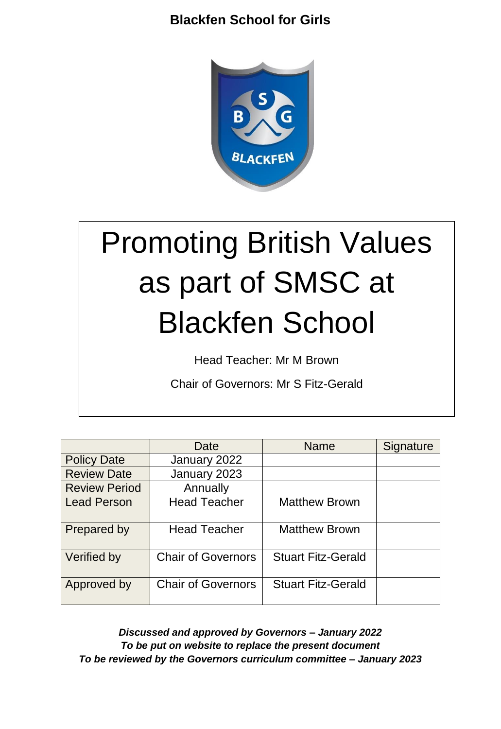

# Promoting British Values as part of SMSC at Blackfen School

Head Teacher: Mr M Brown

Chair of Governors: Mr S Fitz-Gerald

|                      | Date                      | <b>Name</b>               | Signature |
|----------------------|---------------------------|---------------------------|-----------|
| <b>Policy Date</b>   | January 2022              |                           |           |
| <b>Review Date</b>   | January 2023              |                           |           |
| <b>Review Period</b> | Annually                  |                           |           |
| <b>Lead Person</b>   | <b>Head Teacher</b>       | <b>Matthew Brown</b>      |           |
| Prepared by          | <b>Head Teacher</b>       | <b>Matthew Brown</b>      |           |
| Verified by          | <b>Chair of Governors</b> | <b>Stuart Fitz-Gerald</b> |           |
| Approved by          | <b>Chair of Governors</b> | <b>Stuart Fitz-Gerald</b> |           |

*Discussed and approved by Governors – January 2022 To be put on website to replace the present document To be reviewed by the Governors curriculum committee – January 2023*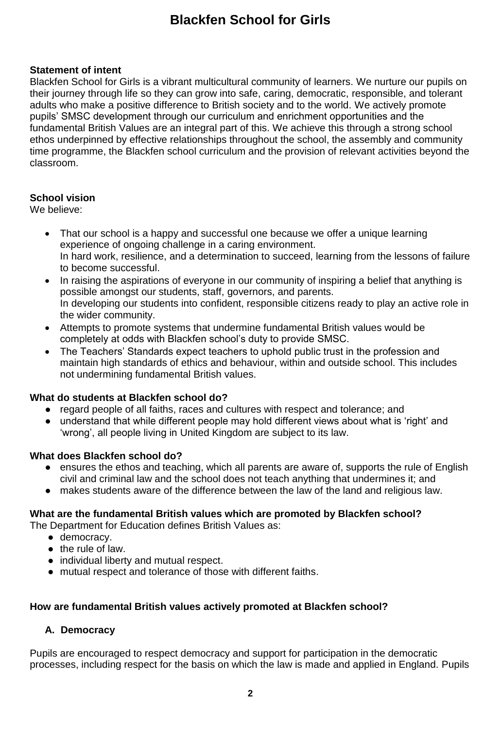## **Statement of intent**

Blackfen School for Girls is a vibrant multicultural community of learners. We nurture our pupils on their journey through life so they can grow into safe, caring, democratic, responsible, and tolerant adults who make a positive difference to British society and to the world. We actively promote pupils' SMSC development through our curriculum and enrichment opportunities and the fundamental British Values are an integral part of this. We achieve this through a strong school ethos underpinned by effective relationships throughout the school, the assembly and community time programme, the Blackfen school curriculum and the provision of relevant activities beyond the classroom.

## **School vision**

We believe:

- That our school is a happy and successful one because we offer a unique learning experience of ongoing challenge in a caring environment. In hard work, resilience, and a determination to succeed, learning from the lessons of failure to become successful.
- In raising the aspirations of everyone in our community of inspiring a belief that anything is possible amongst our students, staff, governors, and parents. In developing our students into confident, responsible citizens ready to play an active role in the wider community.
- Attempts to promote systems that undermine fundamental British values would be completely at odds with Blackfen school's duty to provide SMSC.
- The Teachers' Standards expect teachers to uphold public trust in the profession and maintain high standards of ethics and behaviour, within and outside school. This includes not undermining fundamental British values.

## **What do students at Blackfen school do?**

- regard people of all faiths, races and cultures with respect and tolerance; and
- understand that while different people may hold different views about what is 'right' and 'wrong', all people living in United Kingdom are subject to its law.

## **What does Blackfen school do?**

- ensures the ethos and teaching, which all parents are aware of, supports the rule of English civil and criminal law and the school does not teach anything that undermines it; and
- makes students aware of the difference between the law of the land and religious law.

## **What are the fundamental British values which are promoted by Blackfen school?**

The Department for Education defines British Values as:

- democracy.
- the rule of law.
- individual liberty and mutual respect.
- mutual respect and tolerance of those with different faiths.

## **How are fundamental British values actively promoted at Blackfen school?**

## **A. Democracy**

Pupils are encouraged to respect democracy and support for participation in the democratic processes, including respect for the basis on which the law is made and applied in England. Pupils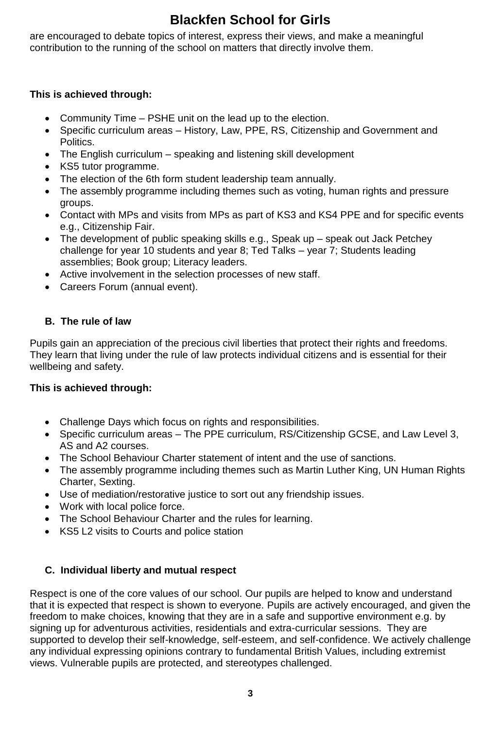are encouraged to debate topics of interest, express their views, and make a meaningful contribution to the running of the school on matters that directly involve them.

## **This is achieved through:**

- Community Time PSHE unit on the lead up to the election.
- Specific curriculum areas History, Law, PPE, RS, Citizenship and Government and Politics.
- The English curriculum speaking and listening skill development
- KS5 tutor programme.
- The election of the 6th form student leadership team annually.
- The assembly programme including themes such as voting, human rights and pressure groups.
- Contact with MPs and visits from MPs as part of KS3 and KS4 PPE and for specific events e.g., Citizenship Fair.
- The development of public speaking skills e.g., Speak up speak out Jack Petchey challenge for year 10 students and year 8; Ted Talks – year 7; Students leading assemblies; Book group; Literacy leaders.
- Active involvement in the selection processes of new staff.
- Careers Forum (annual event).

# **B. The rule of law**

Pupils gain an appreciation of the precious civil liberties that protect their rights and freedoms. They learn that living under the rule of law protects individual citizens and is essential for their wellbeing and safety.

## **This is achieved through:**

- Challenge Days which focus on rights and responsibilities.
- Specific curriculum areas The PPE curriculum, RS/Citizenship GCSE, and Law Level 3, AS and A2 courses.
- The School Behaviour Charter statement of intent and the use of sanctions.
- The assembly programme including themes such as Martin Luther King, UN Human Rights Charter, Sexting.
- Use of mediation/restorative justice to sort out any friendship issues.
- Work with local police force.
- The School Behaviour Charter and the rules for learning.
- KS5 L2 visits to Courts and police station

## **C. Individual liberty and mutual respect**

Respect is one of the core values of our school. Our pupils are helped to know and understand that it is expected that respect is shown to everyone. Pupils are actively encouraged, and given the freedom to make choices, knowing that they are in a safe and supportive environment e.g. by signing up for adventurous activities, residentials and extra-curricular sessions. They are supported to develop their self-knowledge, self-esteem, and self-confidence. We actively challenge any individual expressing opinions contrary to fundamental British Values, including extremist views. Vulnerable pupils are protected, and stereotypes challenged.